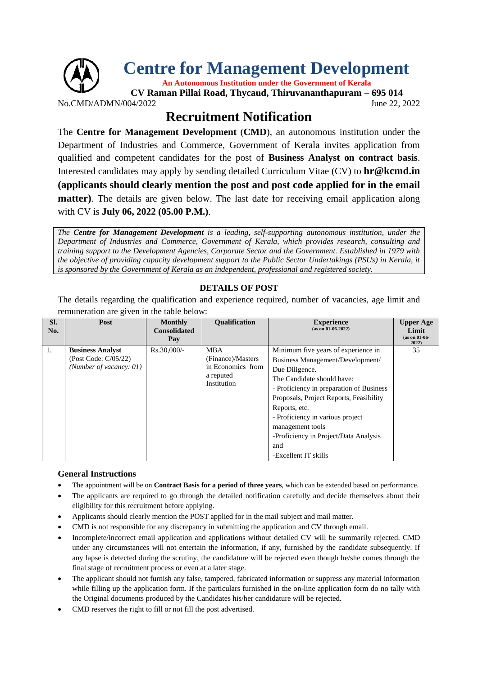

No.CMD/ADMN/004/2022 June 22, 2022

## **Recruitment Notification**

The **Centre for Management Development** (**CMD**), an autonomous institution under the Department of Industries and Commerce, Government of Kerala invites application from qualified and competent candidates for the post of **Business Analyst on contract basis**. Interested candidates may apply by sending detailed Curriculum Vitae (CV) to **hr@kcmd.in (applicants should clearly mention the post and post code applied for in the email matter**). The details are given below. The last date for receiving email application along with CV is **July 06, 2022 (05.00 P.M.)**.

*The Centre for Management Development is a leading, self-supporting autonomous institution, under the Department of Industries and Commerce, Government of Kerala, which provides research, consulting and training support to the Development Agencies, Corporate Sector and the Government. Established in 1979 with the objective of providing capacity development support to the Public Sector Undertakings (PSUs) in Kerala, it is sponsored by the Government of Kerala as an independent, professional and registered society.*

## **DETAILS OF POST**

The details regarding the qualification and experience required, number of vacancies, age limit and remuneration are given in the table below:

| SI.<br>No. | Post                                                                       | <b>Monthly</b><br><b>Consolidated</b><br>Pay | <b>Oualification</b>                                                             | <b>Experience</b><br>$(as on 01-06-2022)$                                                                                                                                                                                                                                                                                                                       | <b>Upper Age</b><br>Limit<br>$(as on 01-06-$<br>2022 |
|------------|----------------------------------------------------------------------------|----------------------------------------------|----------------------------------------------------------------------------------|-----------------------------------------------------------------------------------------------------------------------------------------------------------------------------------------------------------------------------------------------------------------------------------------------------------------------------------------------------------------|------------------------------------------------------|
| 1.         | <b>Business Analyst</b><br>(Post Code: C/05/22)<br>(Number of vacancy: 01) | Rs.30,000/-                                  | <b>MBA</b><br>(Finance)/Masters<br>in Economics from<br>a reputed<br>Institution | Minimum five years of experience in<br>Business Management/Development/<br>Due Diligence.<br>The Candidate should have:<br>- Proficiency in preparation of Business<br>Proposals, Project Reports, Feasibility<br>Reports, etc.<br>- Proficiency in various project<br>management tools<br>-Proficiency in Project/Data Analysis<br>and<br>-Excellent IT skills | 35                                                   |

## **General Instructions**

- The appointment will be on **Contract Basis for a period of three years**, which can be extended based on performance.
- The applicants are required to go through the detailed notification carefully and decide themselves about their eligibility for this recruitment before applying.
- Applicants should clearly mention the POST applied for in the mail subject and mail matter.
- CMD is not responsible for any discrepancy in submitting the application and CV through email.
- Incomplete/incorrect email application and applications without detailed CV will be summarily rejected. CMD under any circumstances will not entertain the information, if any, furnished by the candidate subsequently. If any lapse is detected during the scrutiny, the candidature will be rejected even though he/she comes through the final stage of recruitment process or even at a later stage.
- The applicant should not furnish any false, tampered, fabricated information or suppress any material information while filling up the application form. If the particulars furnished in the on-line application form do no tally with the Original documents produced by the Candidates his/her candidature will be rejected.
- CMD reserves the right to fill or not fill the post advertised.